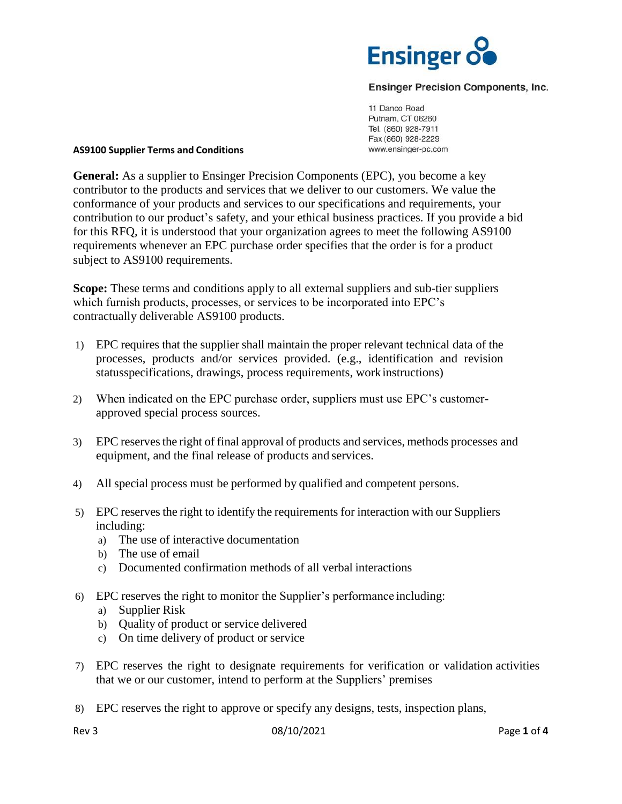

# **Ensinger Precision Components, Inc.**

11 Danco Road Putnam, CT 06260 Tel. (860) 928-7911 Fax (860) 928-2229 www.ensinger-pc.com

## **AS9100 Supplier Terms and Conditions**

**General:** As a supplier to Ensinger Precision Components (EPC), you become a key contributor to the products and services that we deliver to our customers. We value the conformance of your products and services to our specifications and requirements, your contribution to our product's safety, and your ethical business practices. If you provide a bid for this RFQ, it is understood that your organization agrees to meet the following AS9100 requirements whenever an EPC purchase order specifies that the order is for a product subject to AS9100 requirements.

**Scope:** These terms and conditions apply to all external suppliers and sub-tier suppliers which furnish products, processes, or services to be incorporated into EPC's contractually deliverable AS9100 products.

- 1) EPC requires that the supplier shall maintain the proper relevant technical data of the processes, products and/or services provided. (e.g., identification and revision statusspecifications, drawings, process requirements, workinstructions)
- 2) When indicated on the EPC purchase order, suppliers must use EPC's customerapproved special process sources.
- 3) EPC reservesthe right of final approval of products and services, methods processes and equipment, and the final release of products and services.
- 4) All special process must be performed by qualified and competent persons.
- 5) EPC reserves the right to identify the requirements for interaction with our Suppliers including:
	- a) The use of interactive documentation
	- b) The use of email
	- c) Documented confirmation methods of all verbal interactions
- 6) EPC reserves the right to monitor the Supplier's performance including:
	- a) Supplier Risk
	- b) Quality of product or service delivered
	- c) On time delivery of product or service
- 7) EPC reserves the right to designate requirements for verification or validation activities that we or our customer, intend to perform at the Suppliers' premises
- 8) EPC reserves the right to approve or specify any designs, tests, inspection plans,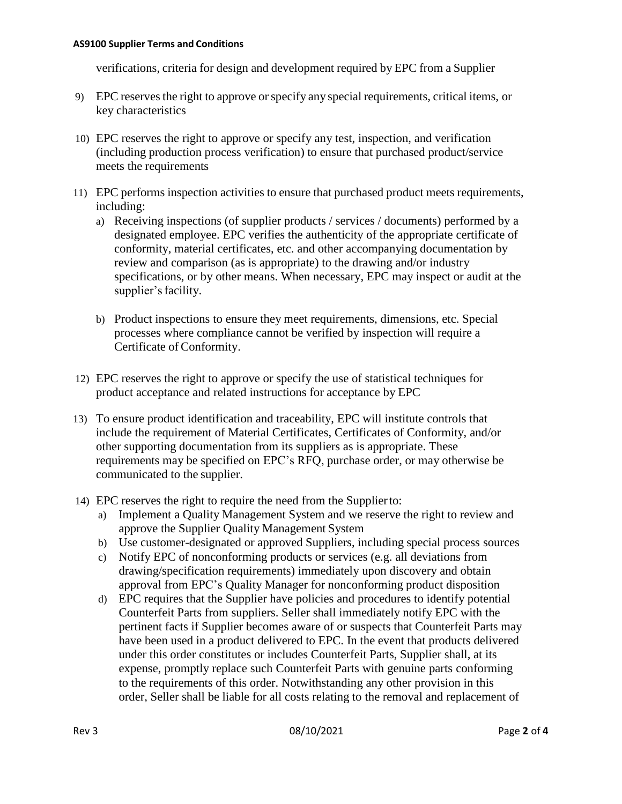## **AS9100 Supplier Terms and Conditions**

verifications, criteria for design and development required by EPC from a Supplier

- 9) EPC reserves the right to approve or specify any special requirements, critical items, or key characteristics
- 10) EPC reserves the right to approve or specify any test, inspection, and verification (including production process verification) to ensure that purchased product/service meets the requirements
- 11) EPC performs inspection activities to ensure that purchased product meets requirements, including:
	- a) Receiving inspections (of supplier products / services / documents) performed by a designated employee. EPC verifies the authenticity of the appropriate certificate of conformity, material certificates, etc. and other accompanying documentation by review and comparison (as is appropriate) to the drawing and/or industry specifications, or by other means. When necessary, EPC may inspect or audit at the supplier's facility.
	- b) Product inspections to ensure they meet requirements, dimensions, etc. Special processes where compliance cannot be verified by inspection will require a Certificate of Conformity.
- 12) EPC reserves the right to approve or specify the use of statistical techniques for product acceptance and related instructions for acceptance by EPC
- 13) To ensure product identification and traceability, EPC will institute controls that include the requirement of Material Certificates, Certificates of Conformity, and/or other supporting documentation from its suppliers as is appropriate. These requirements may be specified on EPC's RFQ, purchase order, or may otherwise be communicated to the supplier.
- 14) EPC reserves the right to require the need from the Supplierto:
	- a) Implement a Quality Management System and we reserve the right to review and approve the Supplier Quality Management System
	- b) Use customer-designated or approved Suppliers, including special process sources
	- c) Notify EPC of nonconforming products or services (e.g. all deviations from drawing/specification requirements) immediately upon discovery and obtain approval from EPC's Quality Manager for nonconforming product disposition
	- d) EPC requires that the Supplier have policies and procedures to identify potential Counterfeit Parts from suppliers. Seller shall immediately notify EPC with the pertinent facts if Supplier becomes aware of or suspects that Counterfeit Parts may have been used in a product delivered to EPC. In the event that products delivered under this order constitutes or includes Counterfeit Parts, Supplier shall, at its expense, promptly replace such Counterfeit Parts with genuine parts conforming to the requirements of this order. Notwithstanding any other provision in this order, Seller shall be liable for all costs relating to the removal and replacement of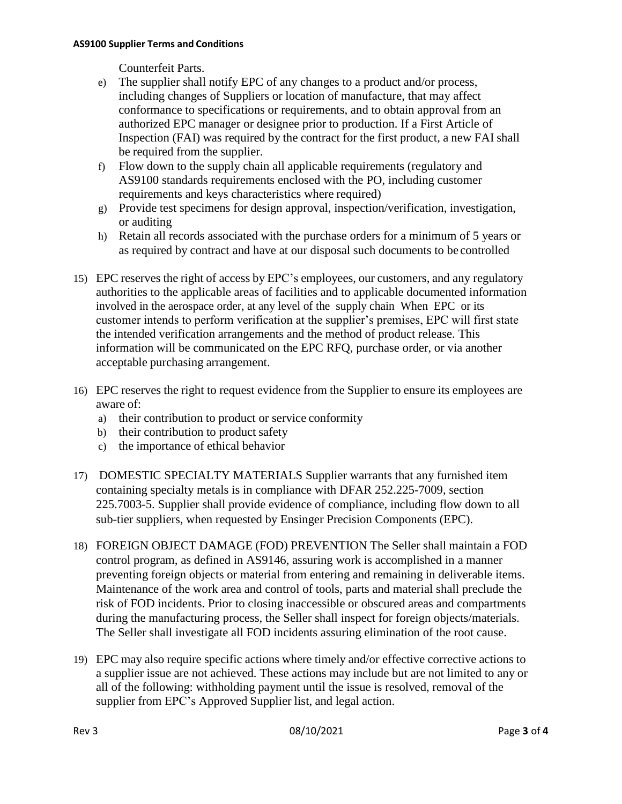# **AS9100 Supplier Terms and Conditions**

Counterfeit Parts.

- e) The supplier shall notify EPC of any changes to a product and/or process, including changes of Suppliers or location of manufacture, that may affect conformance to specifications or requirements, and to obtain approval from an authorized EPC manager or designee prior to production. If a First Article of Inspection (FAI) was required by the contract for the first product, a new FAI shall be required from the supplier.
- f) Flow down to the supply chain all applicable requirements (regulatory and AS9100 standards requirements enclosed with the PO, including customer requirements and keys characteristics where required)
- g) Provide test specimens for design approval, inspection/verification, investigation, or auditing
- h) Retain all records associated with the purchase orders for a minimum of 5 years or as required by contract and have at our disposal such documents to be controlled
- 15) EPC reserves the right of access by EPC's employees, our customers, and any regulatory authorities to the applicable areas of facilities and to applicable documented information involved in the aerospace order, at any level of the supply chain When EPC or its customer intends to perform verification at the supplier's premises, EPC will first state the intended verification arrangements and the method of product release. This information will be communicated on the EPC RFQ, purchase order, or via another acceptable purchasing arrangement.
- 16) EPC reserves the right to request evidence from the Supplier to ensure its employees are aware of:
	- a) their contribution to product or service conformity
	- b) their contribution to product safety
	- c) the importance of ethical behavior
- 17) DOMESTIC SPECIALTY MATERIALS Supplier warrants that any furnished item containing specialty metals is in compliance with DFAR 252.225-7009, section 225.7003-5. Supplier shall provide evidence of compliance, including flow down to all sub-tier suppliers, when requested by Ensinger Precision Components (EPC).
- 18) FOREIGN OBJECT DAMAGE (FOD) PREVENTION The Seller shall maintain a FOD control program, as defined in AS9146, assuring work is accomplished in a manner preventing foreign objects or material from entering and remaining in deliverable items. Maintenance of the work area and control of tools, parts and material shall preclude the risk of FOD incidents. Prior to closing inaccessible or obscured areas and compartments during the manufacturing process, the Seller shall inspect for foreign objects/materials. The Seller shall investigate all FOD incidents assuring elimination of the root cause.
- 19) EPC may also require specific actions where timely and/or effective corrective actions to a supplier issue are not achieved. These actions may include but are not limited to any or all of the following: withholding payment until the issue is resolved, removal of the supplier from EPC's Approved Supplier list, and legal action.